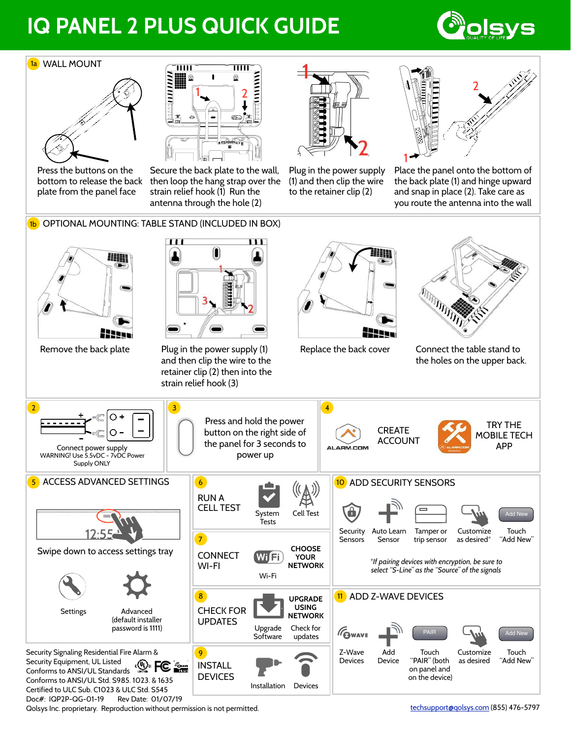## **IQ PANEL 2 PLUS QUICK GUIDE**



## <mark>1a</mark>) WALL MOUNT





Press the buttons on the bottom to release the back plate from the panel face

Secure the back plate to the wall, then loop the hang strap over the strain relief hook (1) Run the antenna through the hole (2)

Plug in the power supply (1) and then clip the wire to the retainer clip (2)



Place the panel onto the bottom of the back plate (1) and hinge upward and snap in place (2). Take care as you route the antenna into the wall



Qolsys Inc. proprietary. Reproduction without permission is not permitted. Compared the control of the techsupport of the techsupport of the techsupport of the techsupport of the techsupport of the techsupport of the techs